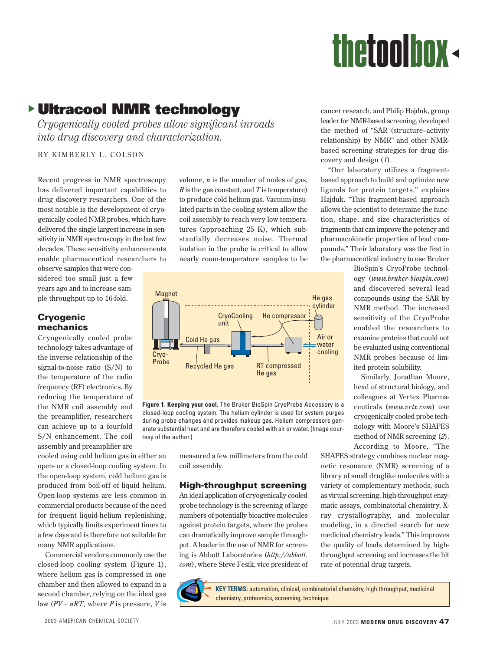# dthetoolbox

# s **Ultracool NMR technology**

*Cryogenically cooled probes allow significant inroads into drug discovery and characterization.*

BY KIMBERLY L. COLSON

Recent progress in NMR spectroscopy has delivered important capabilities to drug discovery researchers. One of the most notable is the development of cryogenically cooled NMR probes, which have delivered the single largest increase in sensitivity in NMR spectroscopy in the last few decades. These sensitivity enhancements enable pharmaceutical researchers to

observe samples that were considered too small just a few years ago and to increase sample throughput up to 16-fold.

### **Cryogenic mechanics**

Cryogenically cooled probe technology takes advantage of the inverse relationship of the signal-to-noise ratio (S/N) to the temperature of the radio frequency (RF) electronics. By reducing the temperature of the NMR coil assembly and the preamplifier, researchers can achieve up to a fourfold S/N enhancement. The coil assembly and preamplifier are

cooled using cold helium gas in either an open- or a closed-loop cooling system. In the open-loop system, cold helium gas is produced from boil-off of liquid helium. Open-loop systems are less common in commercial products because of the need for frequent liquid-helium replenishing, which typically limits experiment times to a few days and is therefore not suitable for many NMR applications.

Commercial vendors commonly use the closed-loop cooling system (Figure 1), where helium gas is compressed in one chamber and then allowed to expand in a second chamber, relying on the ideal gas law (*PV* = *nRT*, where *P* is pressure, *V* is

volume, *n* is the number of moles of gas, *R* is the gas constant, and *T* is temperature) to produce cold helium gas. Vacuum-insulated parts in the cooling system allow the coil assembly to reach very low temperatures (approaching 25 K), which substantially decreases noise. Thermal isolation in the probe is critical to allow nearly room-temperature samples to be



**Figure 1. Keeping your cool.** The Bruker BioSpin CryoProbe Accessory is a closed-loop cooling system. The helium cylinder is used for system purges during probe changes and provides makeup gas. Helium compressors generate substantial heat and are therefore cooled with air or water. (Image courtesy of the author.)

measured a few millimeters from the cold coil assembly.

### **High-throughput screening**

An ideal application of cryogenically cooled probe technology is the screening of large numbers of potentially bioactive molecules against protein targets, where the probes can dramatically improve sample throughput. A leader in the use of NMR for screening is Abbott Laboratories (*http://abbott. com*), where Steve Fesik, vice president of cancer research, and Philip Hajduk, group leader for NMR-based screening, developed the method of "SAR (structure–activity relationship) by NMR" and other NMRbased screening strategies for drug discovery and design (*1*).

"Our laboratory utilizes a fragmentbased approach to build and optimize new ligands for protein targets," explains Hajduk. "This fragment-based approach allows the scientist to determine the function, shape, and size characteristics of fragments that can improve the potency and pharmacokinetic properties of lead compounds." Their laboratory was the first in the pharmaceutical industry to use Bruker

BioSpin's CryoProbe technology (*www.bruker-biospin.com*) and discovered several lead compounds using the SAR by NMR method. The increased sensitivity of the CryoProbe enabled the researchers to examine proteins that could not be evaluated using conventional NMR probes because of limited protein solubility.

Similarly, Jonathan Moore, head of structural biology, and colleagues at Vertex Pharmaceuticals (*www.vrtx.com*) use cryogenically cooled probe technology with Moore's SHAPES method of NMR screening (*2*). According to Moore, "The

SHAPES strategy combines nuclear magnetic resonance (NMR) screening of a library of small druglike molecules with a variety of complementary methods, such as virtual screening, high-throughput enzymatic assays, combinatorial chemistry, Xray crystallography, and molecular modeling, in a directed search for new medicinal chemistry leads." This improves the quality of leads determined by highthroughput screening and increases the hit rate of potential drug targets.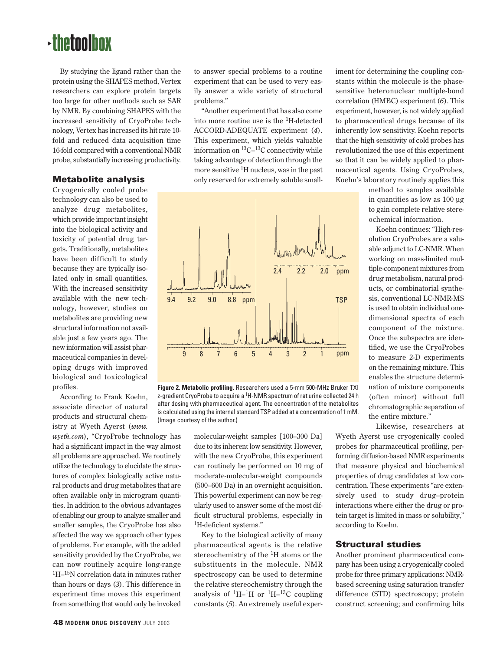## $\cdot$ thetoolbox

By studying the ligand rather than the protein using the SHAPES method, Vertex researchers can explore protein targets too large for other methods such as SAR by NMR. By combining SHAPES with the increased sensitivity of CryoProbe technology, Vertex has increased its hit rate 10 fold and reduced data acquisition time 16-fold compared with a conventional NMR probe, substantially increasing productivity.

### **Metabolite analysis**

Cryogenically cooled probe technology can also be used to analyze drug metabolites, which provide important insight into the biological activity and toxicity of potential drug targets. Traditionally, metabolites have been difficult to study because they are typically isolated only in small quantities. With the increased sensitivity available with the new technology, however, studies on metabolites are providing new structural information not available just a few years ago. The new information will assist pharmaceutical companies in developing drugs with improved biological and toxicological profiles.

According to Frank Koehn, associate director of natural products and structural chemistry at Wyeth Ayerst (*www.*

*wyeth.com*), "CryoProbe technology has had a significant impact in the way almost all problems are approached. We routinely utilize the technology to elucidate the structures of complex biologically active natural products and drug metabolites that are often available only in microgram quantities. In addition to the obvious advantages of enabling our group to analyze smaller and smaller samples, the CryoProbe has also affected the way we approach other types of problems. For example, with the added sensitivity provided by the CryoProbe, we can now routinely acquire long-range 1H–15N correlation data in minutes rather than hours or days (*3*). This difference in experiment time moves this experiment from something that would only be invoked

to answer special problems to a routine experiment that can be used to very easily answer a wide variety of structural problems."

"Another experiment that has also come into more routine use is the 1H-detected ACCORD-ADEQUATE experiment (*4*). This experiment, which yields valuable information on  ${}^{13}C-{}^{13}C$  connectivity while taking advantage of detection through the more sensitive <sup>1</sup>H nucleus, was in the past only reserved for extremely soluble small-



**Figure 2. Metabolic profiling.** Researchers used a 5-mm 500-MHz Bruker TXI z-gradient CryoProbe to acquire a <sup>1</sup>H-NMR spectrum of rat urine collected 24 h after dosing with pharmaceutical agent. The concentration of the metabolites is calculated using the internal standard TSP added at a concentration of 1 mM. (Image courtesy of the author.)

molecular-weight samples [100–300 Da] due to its inherent low sensitivity. However, with the new CryoProbe, this experiment can routinely be performed on 10 mg of moderate-molecular-weight compounds (500–600 Da) in an overnight acquisition. This powerful experiment can now be regularly used to answer some of the most difficult structural problems, especially in 1H-deficient systems."

Key to the biological activity of many pharmaceutical agents is the relative stereochemistry of the  ${}^{1}H$  atoms or the substituents in the molecule. NMR spectroscopy can be used to determine the relative stereochemistry through the analysis of  ${}^{1}H-{}^{1}H$  or  ${}^{1}H-{}^{13}C$  coupling constants (*5*). An extremely useful experiment for determining the coupling constants within the molecule is the phasesensitive heteronuclear multiple-bond correlation (HMBC) experiment (*6*). This experiment, however, is not widely applied to pharmaceutical drugs because of its inherently low sensitivity. Koehn reports that the high sensitivity of cold probes has revolutionized the use of this experiment so that it can be widely applied to pharmaceutical agents. Using CryoProbes, Koehn's laboratory routinely applies this

> method to samples available in quantities as low as 100 µg to gain complete relative stereochemical information.

Koehn continues: "High-resolution CryoProbes are a valuable adjunct to LC-NMR. When working on mass-limited multiple-component mixtures from drug metabolism, natural products, or combinatorial synthesis, conventional LC-NMR-MS is used to obtain individual onedimensional spectra of each component of the mixture. Once the subspectra are identified, we use the CryoProbes to measure 2-D experiments on the remaining mixture. This enables the structure determination of mixture components (often minor) without full chromatographic separation of the entire mixture."

Likewise, researchers at Wyeth Ayerst use cryogenically cooled probes for pharmaceutical profiling, performing diffusion-based NMR experiments that measure physical and biochemical properties of drug candidates at low concentration. These experiments "are extensively used to study drug–protein interactions where either the drug or protein target is limited in mass or solubility," according to Koehn.

### **Structural studies**

Another prominent pharmaceutical company has been using a cryogenically cooled probe for three primary applications: NMRbased screening using saturation transfer difference (STD) spectroscopy; protein construct screening; and confirming hits